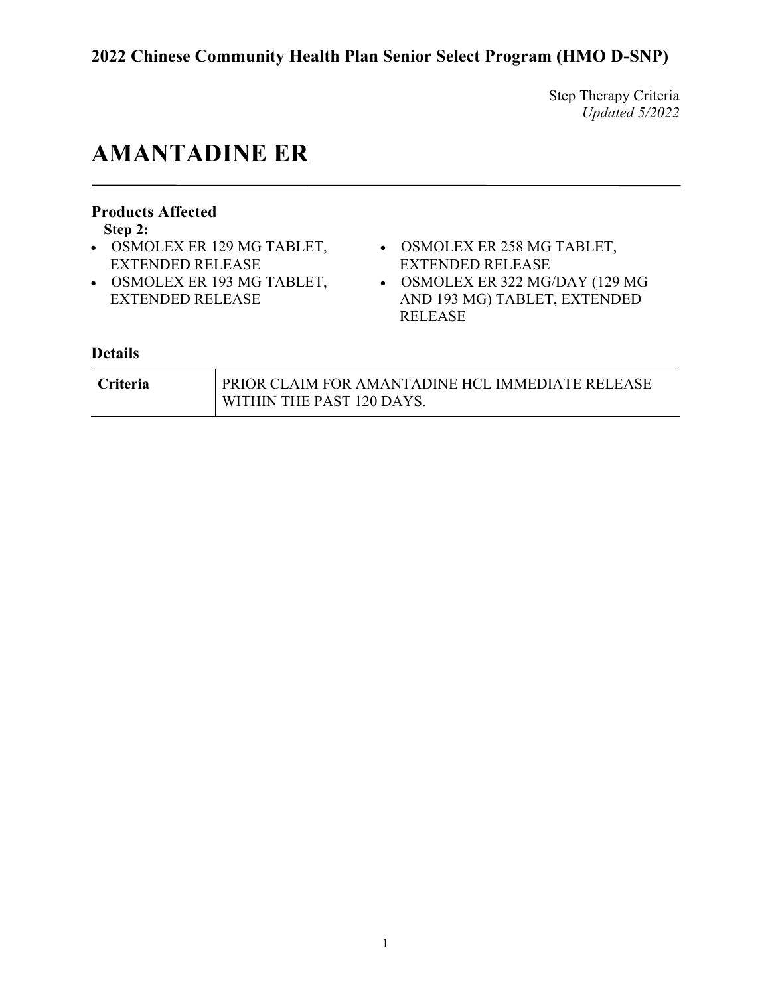Step Therapy Criteria *Updated 5/2022*

# **AMANTADINE ER**

### **Products Affected**

**Step 2:**

- EXTENDED RELEASE
- OSMOLEX ER 193 MG TABLET, EXTENDED RELEASE
- OSMOLEX ER 129 MG TABLET, OSMOLEX ER 258 MG TABLET, EXTENDED RELEASE
	- OSMOLEX ER 322 MG/DAY (129 MG AND 193 MG) TABLET, EXTENDED RELEASE

| Criteria | <b>PRIOR CLAIM FOR AMANTADINE HCL IMMEDIATE RELEASE</b> |
|----------|---------------------------------------------------------|
|          | WITHIN THE PAST 120 DAYS.                               |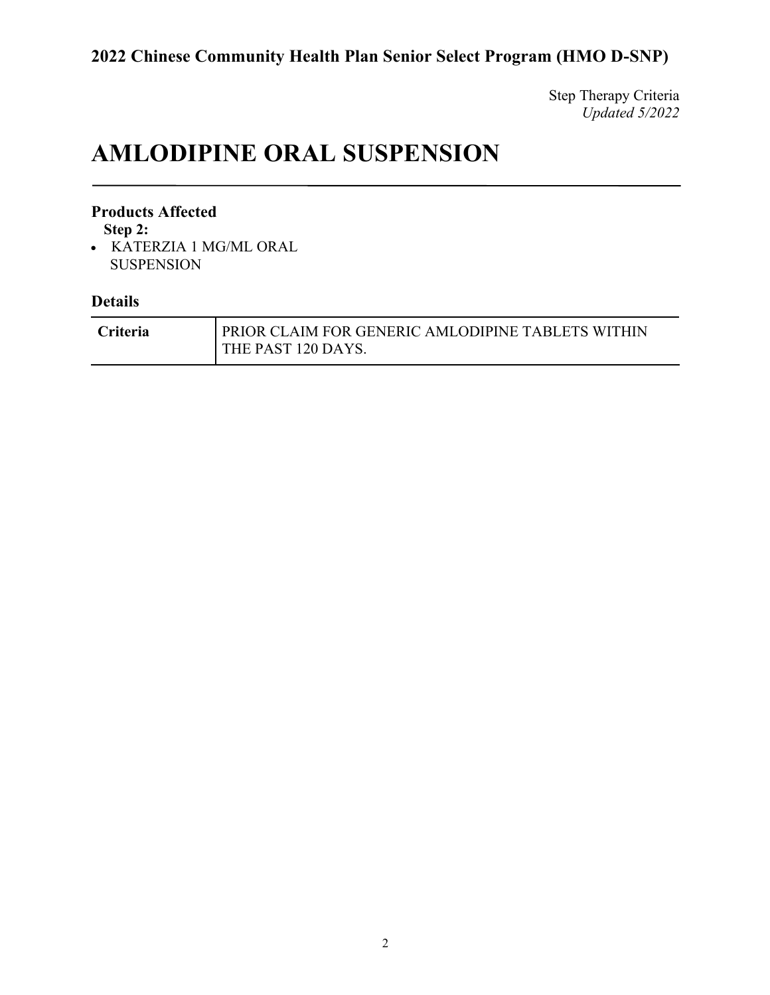Step Therapy Criteria *Updated 5/2022*

# **AMLODIPINE ORAL SUSPENSION**

#### **Products Affected**

**Step 2:**

• KATERZIA 1 MG/ML ORAL SUSPENSION

| <b>Criteria</b> | <b>PRIOR CLAIM FOR GENERIC AMLODIPINE TABLETS WITHIN</b> |
|-----------------|----------------------------------------------------------|
|                 | THE PAST 120 DAYS.                                       |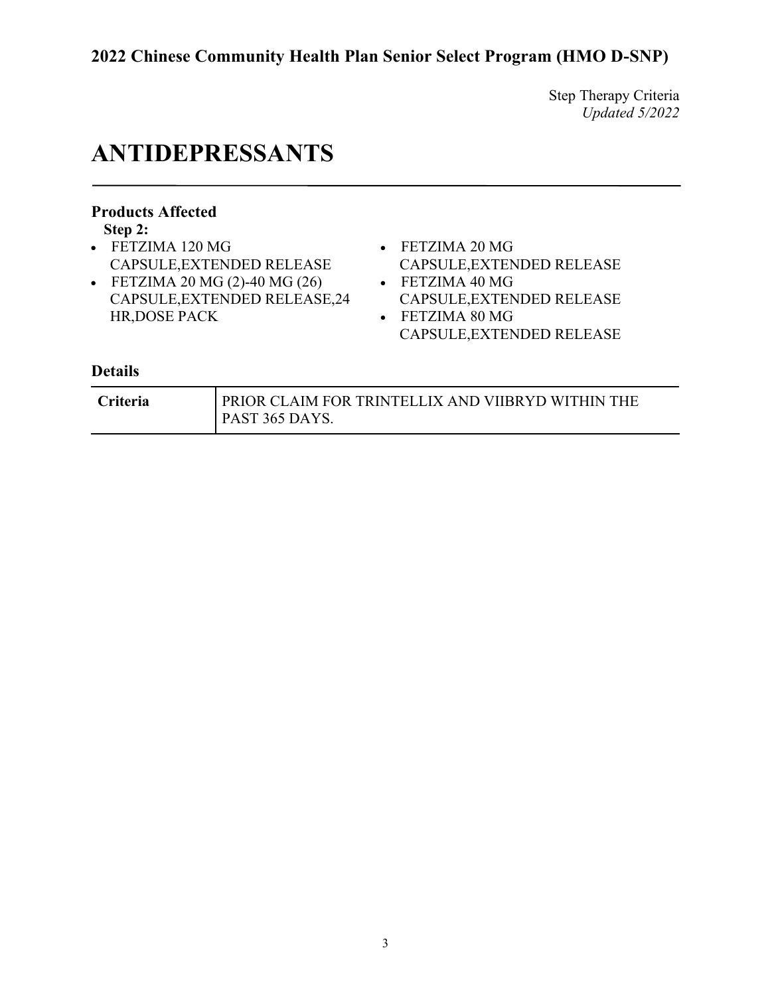Step Therapy Criteria *Updated 5/2022*

# **ANTIDEPRESSANTS**

### **Products Affected**

**Step 2:**

- FETZIMA 120 MG CAPSULE,EXTENDED RELEASE
- FETZIMA 20 MG (2)-40 MG (26) CAPSULE,EXTENDED RELEASE,24 HR,DOSE PACK
- FETZIMA 20 MG
- CAPSULE,EXTENDED RELEASE • FETZIMA 40 MG CAPSULE,EXTENDED RELEASE
- FETZIMA 80 MG CAPSULE,EXTENDED RELEASE

| <b>Criteria</b> | PRIOR CLAIM FOR TRINTELLIX AND VIIBRYD WITHIN THE |
|-----------------|---------------------------------------------------|
|                 | PAST 365 DAYS.                                    |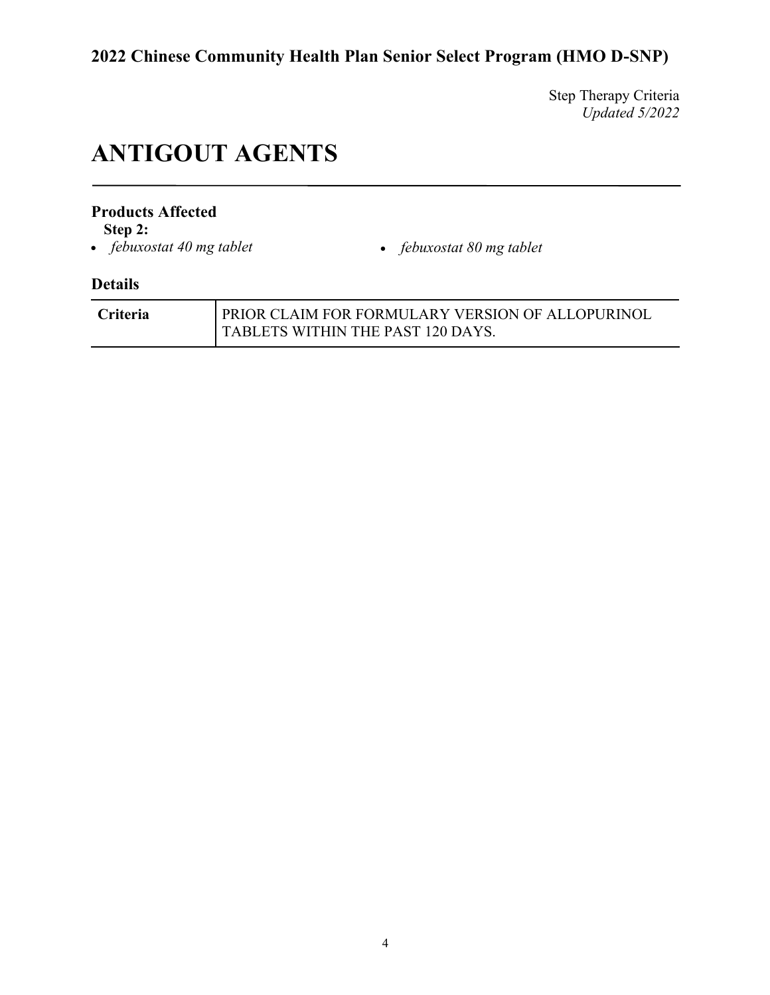Step Therapy Criteria *Updated 5/2022*

# **ANTIGOUT AGENTS**

#### **Products Affected**

**Step 2:**<br>• *febuxostat 40 mg tablet* 

• *febuxostat 40 mg tablet* • *febuxostat 80 mg tablet*

| <b>Criteria</b> | PRIOR CLAIM FOR FORMULARY VERSION OF ALLOPURINOL |
|-----------------|--------------------------------------------------|
|                 | TABLETS WITHIN THE PAST 120 DAYS.                |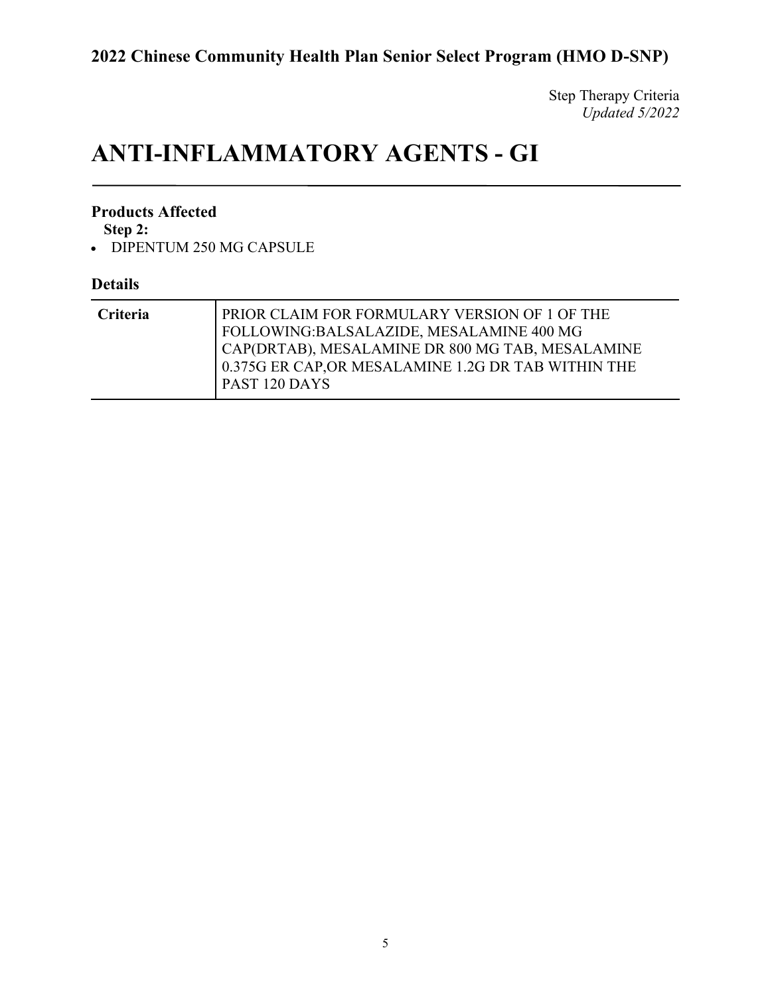Step Therapy Criteria *Updated 5/2022*

# **ANTI-INFLAMMATORY AGENTS - GI**

#### **Products Affected**

**Step 2:**

• DIPENTUM 250 MG CAPSULE

| <b>Criteria</b> | PRIOR CLAIM FOR FORMULARY VERSION OF 1 OF THE<br>FOLLOWING:BALSALAZIDE, MESALAMINE 400 MG               |
|-----------------|---------------------------------------------------------------------------------------------------------|
|                 | CAP(DRTAB), MESALAMINE DR 800 MG TAB, MESALAMINE<br>0.375G ER CAP, OR MESALAMINE 1.2G DR TAB WITHIN THE |
|                 | <b>PAST 120 DAYS</b>                                                                                    |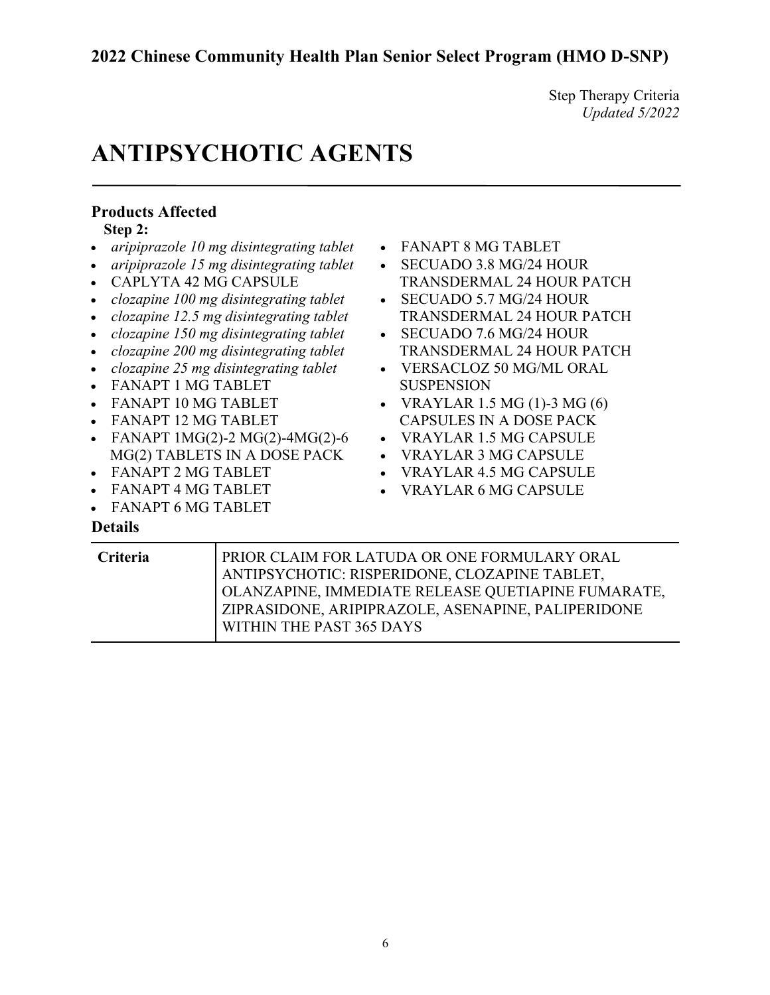Step Therapy Criteria *Updated 5/2022*

# **ANTIPSYCHOTIC AGENTS**

| <b>Products Affected</b>                                                                                                                                                                                                                                                                                                                                                                                                                                                                                                                                          |                                                                                                                                                                                                                                                                                                                                                                                                                                                        |
|-------------------------------------------------------------------------------------------------------------------------------------------------------------------------------------------------------------------------------------------------------------------------------------------------------------------------------------------------------------------------------------------------------------------------------------------------------------------------------------------------------------------------------------------------------------------|--------------------------------------------------------------------------------------------------------------------------------------------------------------------------------------------------------------------------------------------------------------------------------------------------------------------------------------------------------------------------------------------------------------------------------------------------------|
| Step 2:                                                                                                                                                                                                                                                                                                                                                                                                                                                                                                                                                           |                                                                                                                                                                                                                                                                                                                                                                                                                                                        |
| aripiprazole 10 mg disintegrating tablet<br>aripiprazole 15 mg disintegrating tablet<br>CAPLYTA 42 MG CAPSULE<br>clozapine 100 mg disintegrating tablet<br>clozapine 12.5 mg disintegrating tablet<br>clozapine 150 mg disintegrating tablet<br>clozapine 200 mg disintegrating tablet<br>clozapine 25 mg disintegrating tablet<br><b>FANAPT 1 MG TABLET</b><br><b>FANAPT 10 MG TABLET</b><br><b>FANAPT 12 MG TABLET</b><br>FANAPT 1MG(2)-2 MG(2)-4MG(2)-6<br>$\bullet$<br>MG(2) TABLETS IN A DOSE PACK<br><b>FANAPT 2 MG TABLET</b><br><b>FANAPT 4 MG TABLET</b> | <b>FANAPT 8 MG TABLET</b><br>SECUADO 3.8 MG/24 HOUR<br><b>TRANSDERMAL 24 HOUR PATCH</b><br>SECUADO 5.7 MG/24 HOUR<br>TRANSDERMAL 24 HOUR PATCH<br>SECUADO 7.6 MG/24 HOUR<br><b>TRANSDERMAL 24 HOUR PATCH</b><br><b>VERSACLOZ 50 MG/ML ORAL</b><br><b>SUSPENSION</b><br>VRAYLAR 1.5 MG (1)-3 MG (6)<br><b>CAPSULES IN A DOSE PACK</b><br><b>VRAYLAR 1.5 MG CAPSULE</b><br><b>VRAYLAR 3 MG CAPSULE</b><br>VRAYLAR 4.5 MG CAPSULE<br>VRAYLAR 6 MG CAPSULE |
| <b>FANAPT 6 MG TABLET</b>                                                                                                                                                                                                                                                                                                                                                                                                                                                                                                                                         |                                                                                                                                                                                                                                                                                                                                                                                                                                                        |
| <b>Details</b>                                                                                                                                                                                                                                                                                                                                                                                                                                                                                                                                                    |                                                                                                                                                                                                                                                                                                                                                                                                                                                        |
| Criteria                                                                                                                                                                                                                                                                                                                                                                                                                                                                                                                                                          | PRIOR CLAIM FOR LATUDA OR ONE FORMULARY ORAL                                                                                                                                                                                                                                                                                                                                                                                                           |

| <b>Criteria</b> | PRIOR CLAIM FOR LATUDA OR ONE FORMULARY ORAL<br>ANTIPSYCHOTIC: RISPERIDONE, CLOZAPINE TABLET,<br>OLANZAPINE, IMMEDIATE RELEASE QUETIAPINE FUMARATE, |
|-----------------|-----------------------------------------------------------------------------------------------------------------------------------------------------|
|                 | ZIPRASIDONE, ARIPIPRAZOLE, ASENAPINE, PALIPERIDONE                                                                                                  |
|                 | WITHIN THE PAST 365 DAYS                                                                                                                            |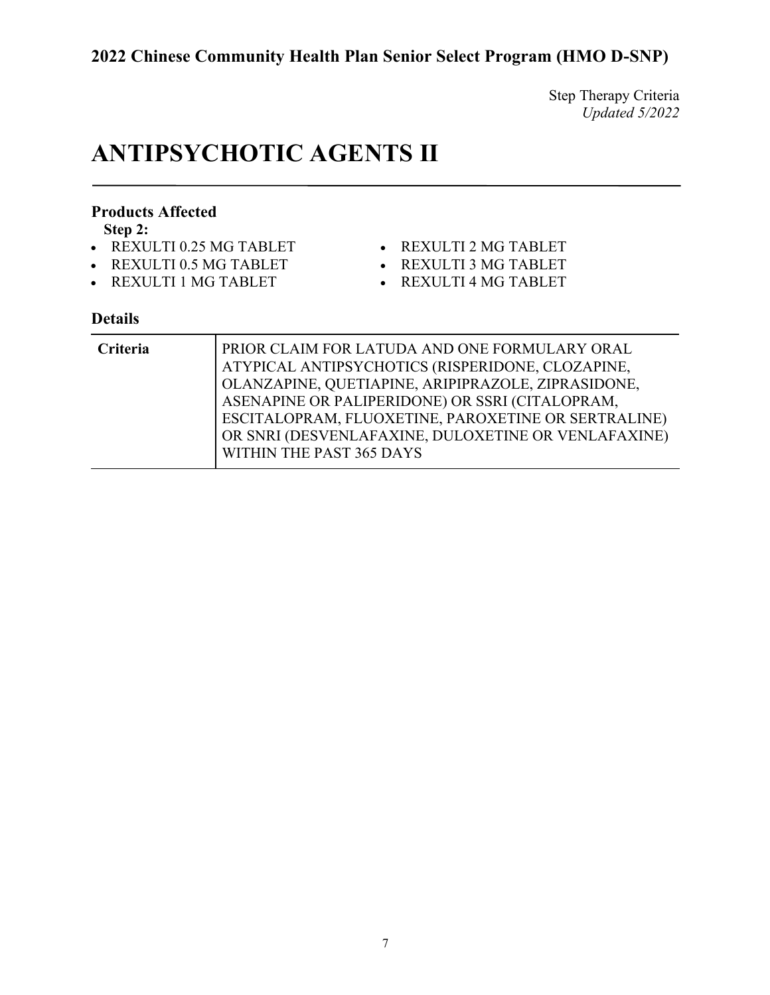Step Therapy Criteria *Updated 5/2022*

# **ANTIPSYCHOTIC AGENTS II**

#### **Products Affected**

**Step 2:**

- REXULTI 0.25 MG TABLET
- REXULTI 0.5 MG TABLET
- REXULTI 1 MG TABLET
- REXULTI 2 MG TABLET
	- REXULTI 3 MG TABLET
	- REXULTI 4 MG TABLET

| Criteria | PRIOR CLAIM FOR LATUDA AND ONE FORMULARY ORAL<br>ATYPICAL ANTIPSYCHOTICS (RISPERIDONE, CLOZAPINE,<br>  OLANZAPINE, QUETIAPINE, ARIPIPRAZOLE, ZIPRASIDONE, |
|----------|-----------------------------------------------------------------------------------------------------------------------------------------------------------|
|          | ASENAPINE OR PALIPERIDONE) OR SSRI (CITALOPRAM,                                                                                                           |
|          | ESCITALOPRAM, FLUOXETINE, PAROXETINE OR SERTRALINE)                                                                                                       |
|          | OR SNRI (DESVENLAFAXINE, DULOXETINE OR VENLAFAXINE)                                                                                                       |
|          | WITHIN THE PAST 365 DAYS                                                                                                                                  |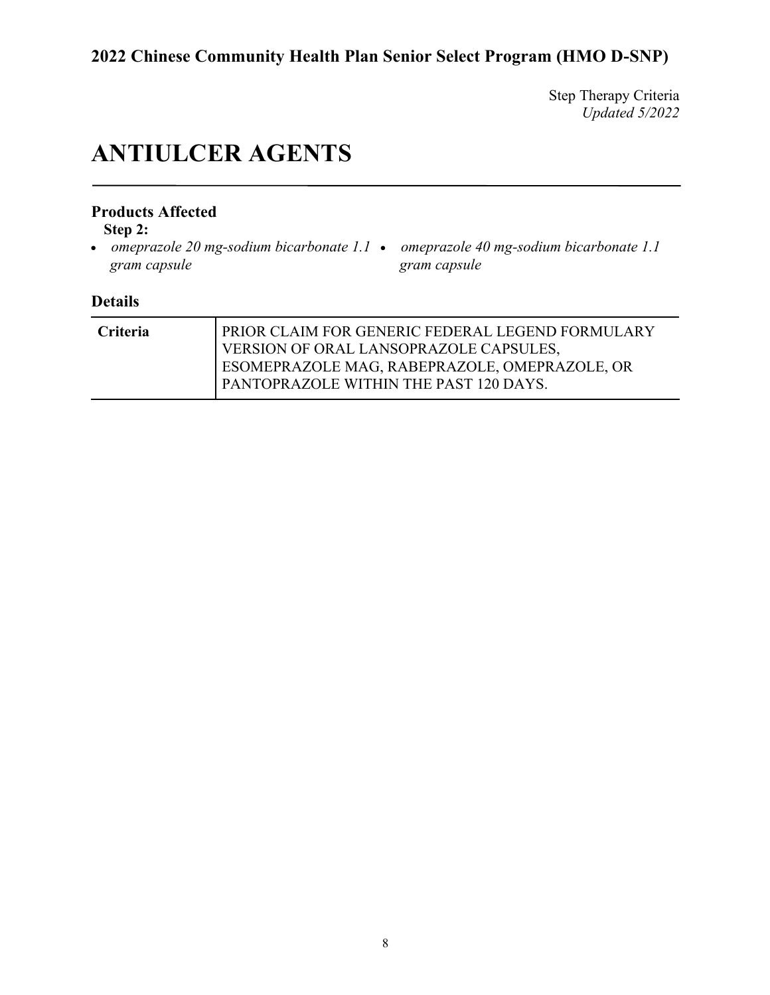Step Therapy Criteria *Updated 5/2022*

# **ANTIULCER AGENTS**

### **Products Affected**

**Step 2:**

- *omeprazole 20 mg-sodium bicarbonate 1.1 omeprazole 40 mg-sodium bicarbonate 1.1 gram capsule*
- *gram capsule*

| <b>Criteria</b> | PRIOR CLAIM FOR GENERIC FEDERAL LEGEND FORMULARY<br>VERSION OF ORAL LANSOPRAZOLE CAPSULES. |
|-----------------|--------------------------------------------------------------------------------------------|
|                 | ESOMEPRAZOLE MAG, RABEPRAZOLE, OMEPRAZOLE, OR<br>PANTOPRAZOLE WITHIN THE PAST 120 DAYS.    |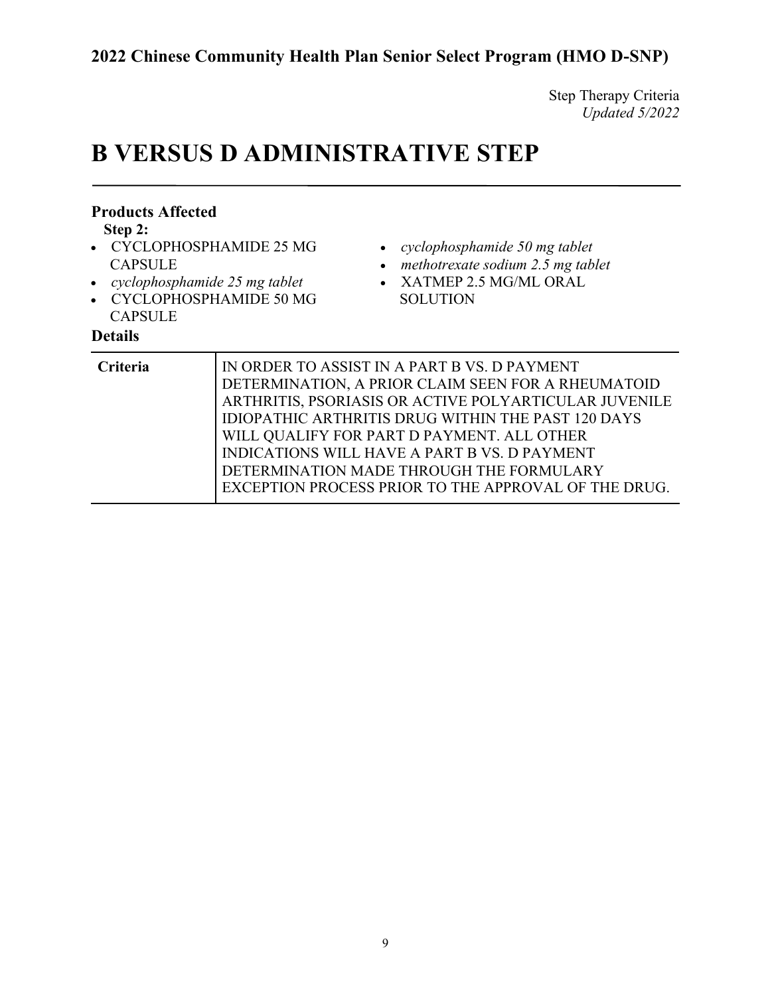Step Therapy Criteria *Updated 5/2022*

# **B VERSUS D ADMINISTRATIVE STEP**

| <b>Products Affected</b><br>Step 2:<br>• CYCLOPHOSPHAMIDE 25 MG<br><b>CAPSULE</b><br>• cyclophosphamide $25$ mg tablet<br>• CYCLOPHOSPHAMIDE 50 MG<br><b>CAPSULE</b><br><b>Details</b> | cyclophosphamide 50 mg tablet<br>methotrexate sodium 2.5 mg tablet<br>XATMEP 2.5 MG/ML ORAL<br>$\bullet$<br><b>SOLUTION</b>                                                                                                                                                                                            |
|----------------------------------------------------------------------------------------------------------------------------------------------------------------------------------------|------------------------------------------------------------------------------------------------------------------------------------------------------------------------------------------------------------------------------------------------------------------------------------------------------------------------|
| Criteria                                                                                                                                                                               | IN ORDER TO ASSIST IN A PART B VS. D PAYMENT<br>DETERMINATION, A PRIOR CLAIM SEEN FOR A RHEUMATOID<br>ARTHRITIS, PSORIASIS OR ACTIVE POLYARTICULAR JUVENILE<br>IDIOPATHIC ARTHRITIS DRUG WITHIN THE PAST 120 DAYS<br>WILL QUALIFY FOR PART D PAYMENT. ALL OTHER<br><b>INDICATIONS WILL HAVE A PART B VS. D PAYMENT</b> |

DETERMINATION MADE THROUGH THE FORMULARY

EXCEPTION PROCESS PRIOR TO THE APPROVAL OF THE DRUG.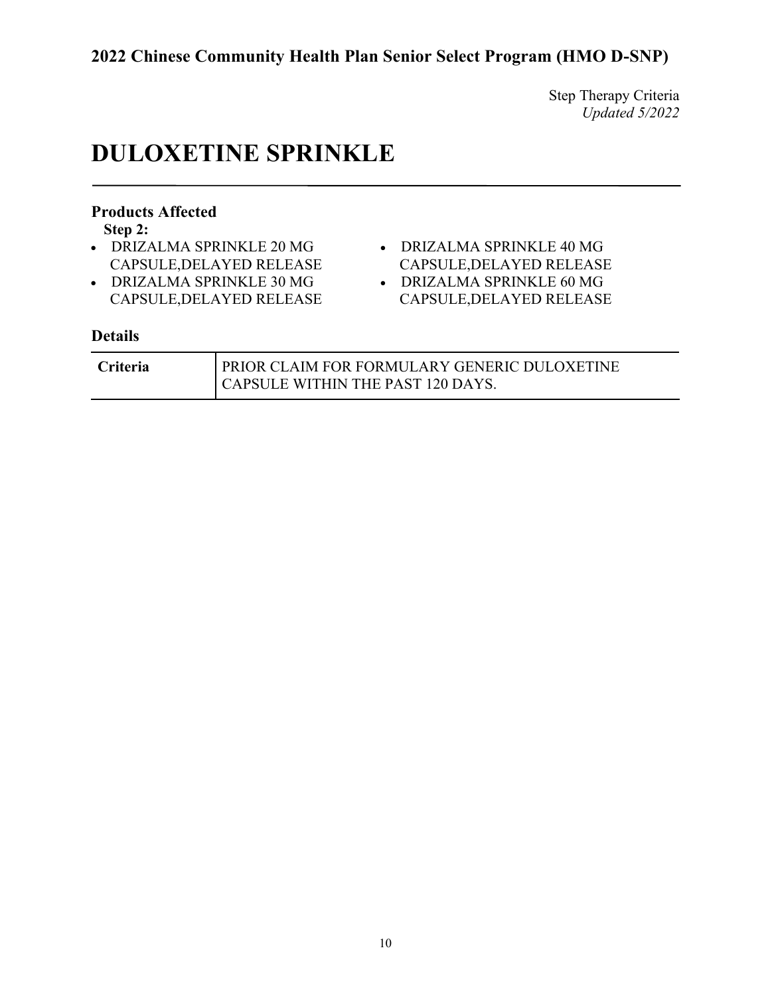Step Therapy Criteria *Updated 5/2022*

# **DULOXETINE SPRINKLE**

### **Products Affected**

**Step 2:**

- DRIZALMA SPRINKLE 20 MG CAPSULE,DELAYED RELEASE
- DRIZALMA SPRINKLE 30 MG CAPSULE,DELAYED RELEASE
- DRIZALMA SPRINKLE 40 MG CAPSULE,DELAYED RELEASE
- DRIZALMA SPRINKLE 60 MG CAPSULE,DELAYED RELEASE

| <b>Criteria</b> | PRIOR CLAIM FOR FORMULARY GENERIC DULOXETINE |
|-----------------|----------------------------------------------|
|                 | CAPSULE WITHIN THE PAST 120 DAYS.            |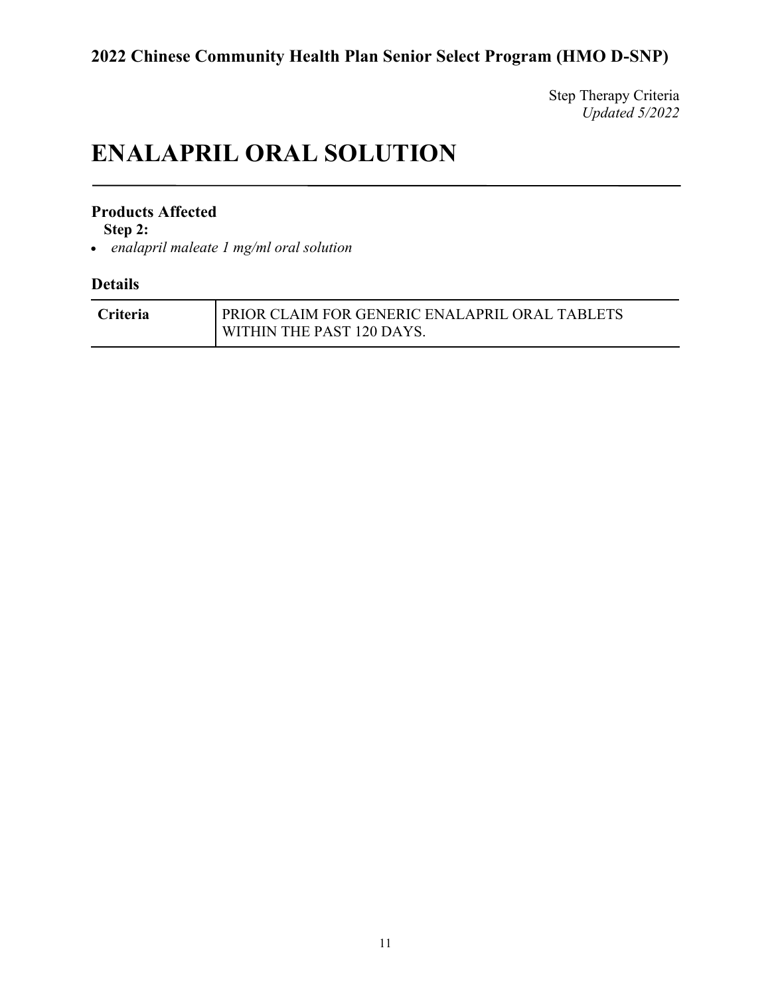Step Therapy Criteria *Updated 5/2022*

# **ENALAPRIL ORAL SOLUTION**

#### **Products Affected**

**Step 2:**

• *enalapril maleate 1 mg/ml oral solution*

| <b>Criteria</b> | <b>PRIOR CLAIM FOR GENERIC ENALAPRIL ORAL TABLETS</b> |
|-----------------|-------------------------------------------------------|
|                 | <b>I WITHIN THE PAST 120 DAYS.</b>                    |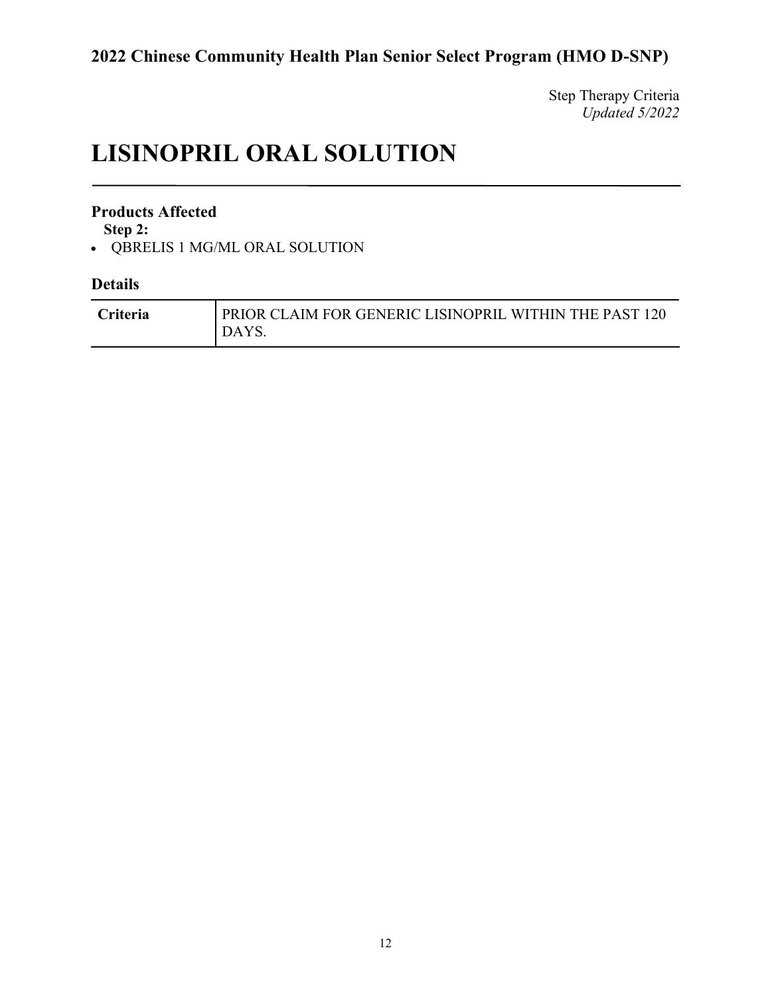Step Therapy Criteria *Updated 5/2022*

# **LISINOPRIL ORAL SOLUTION**

### **Products Affected**

**Step 2:**

• QBRELIS 1 MG/ML ORAL SOLUTION

| <b>Criteria</b> | PRIOR CLAIM FOR GENERIC LISINOPRIL WITHIN THE PAST 120<br>DAYS. |
|-----------------|-----------------------------------------------------------------|
|                 |                                                                 |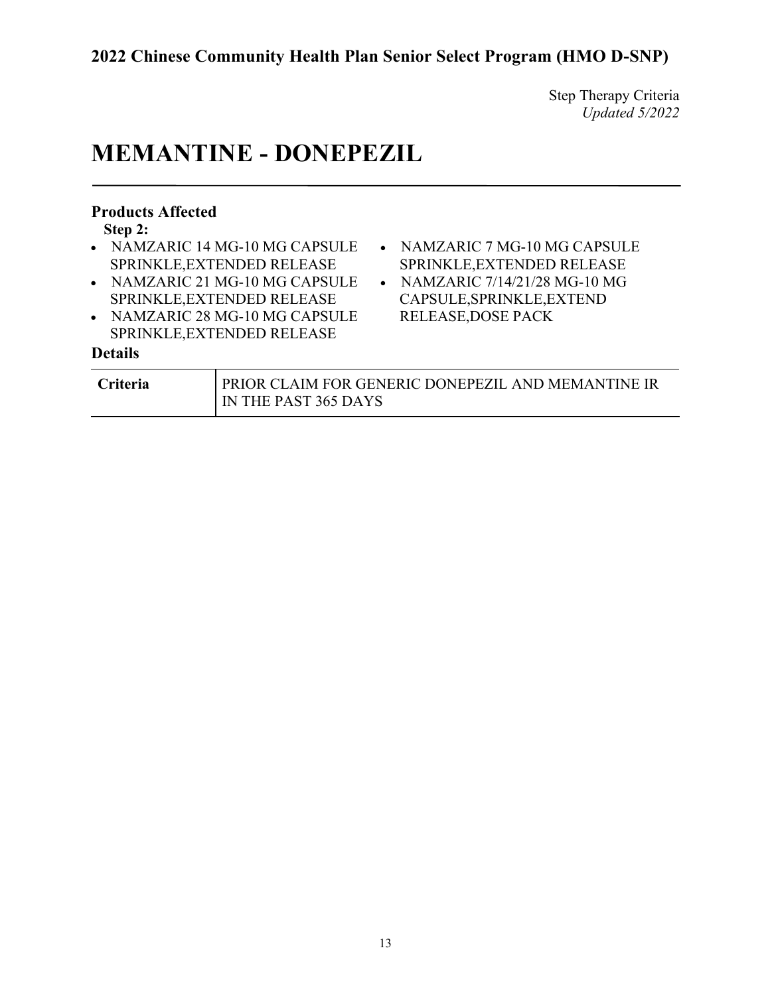Step Therapy Criteria *Updated 5/2022*

# **MEMANTINE - DONEPEZIL**

| <b>Products Affected</b> |                                |           |                                                    |
|--------------------------|--------------------------------|-----------|----------------------------------------------------|
| Step 2:                  |                                |           |                                                    |
|                          | • NAMZARIC 14 MG-10 MG CAPSULE |           | • NAMZARIC 7 MG-10 MG CAPSULE                      |
|                          | SPRINKLE, EXTENDED RELEASE     |           | SPRINKLE, EXTENDED RELEASE                         |
|                          | • NAMZARIC 21 MG-10 MG CAPSULE | $\bullet$ | NAMZARIC 7/14/21/28 MG-10 MG                       |
|                          | SPRINKLE, EXTENDED RELEASE     |           | CAPSULE, SPRINKLE, EXTEND                          |
|                          | • NAMZARIC 28 MG-10 MG CAPSULE |           | <b>RELEASE, DOSE PACK</b>                          |
|                          | SPRINKLE, EXTENDED RELEASE     |           |                                                    |
| <b>Details</b>           |                                |           |                                                    |
| Criteria                 |                                |           | PRIOR CLAIM FOR GENERIC DONEPEZIL AND MEMANTINE IR |
|                          | IN THE PAST 365 DAYS           |           |                                                    |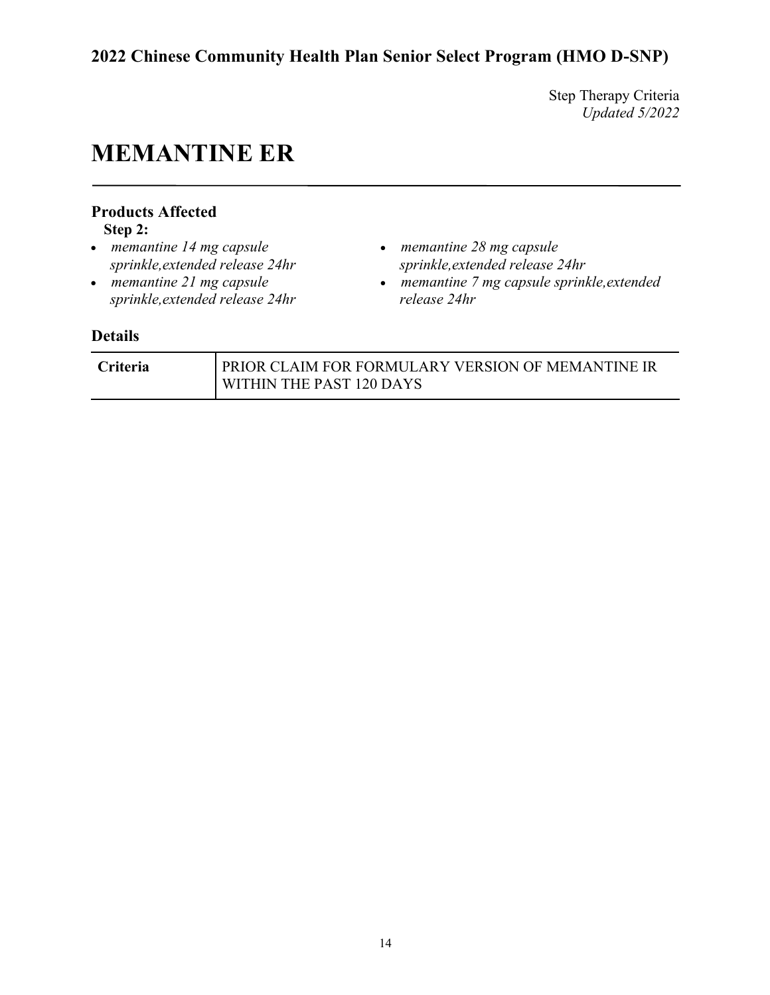Step Therapy Criteria *Updated 5/2022*

# **MEMANTINE ER**

## **Products Affected**

**Step 2:**

- *memantine 14 mg capsule sprinkle,extended release 24hr*
- *memantine 21 mg capsule sprinkle,extended release 24hr*
- *memantine 28 mg capsule sprinkle,extended release 24hr*
- *memantine 7 mg capsule sprinkle,extended release 24hr*

| <b>Criteria</b> | PRIOR CLAIM FOR FORMULARY VERSION OF MEMANTINE IR |
|-----------------|---------------------------------------------------|
|                 | WITHIN THE PAST 120 DAYS                          |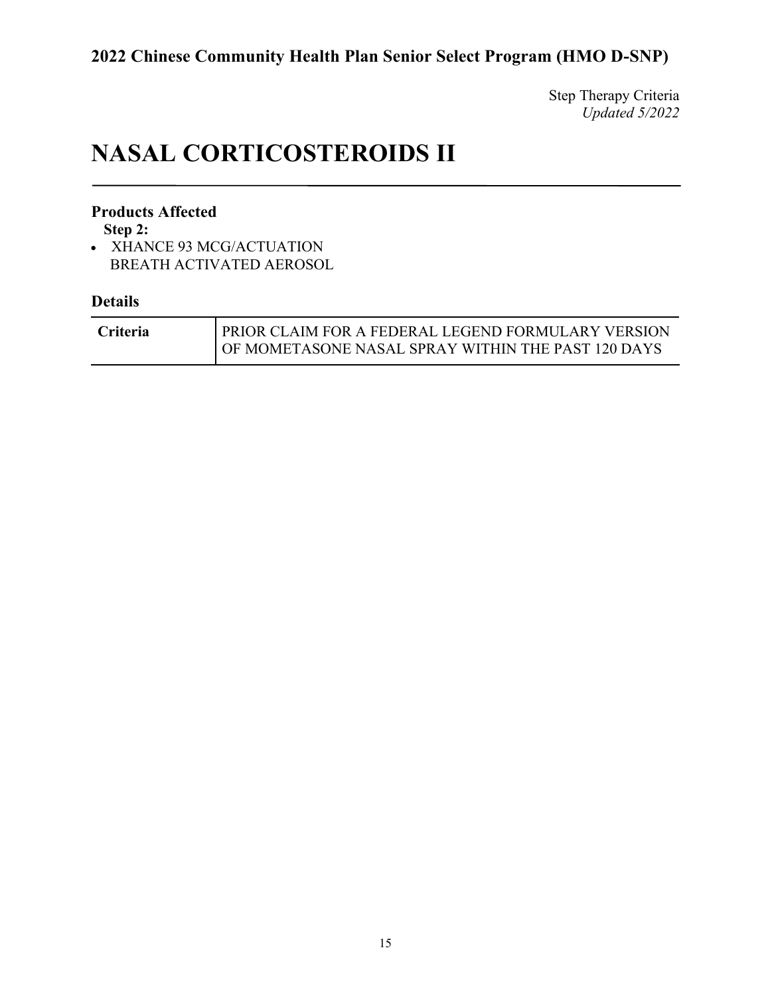Step Therapy Criteria *Updated 5/2022*

# **NASAL CORTICOSTEROIDS II**

### **Products Affected**

**Step 2:**

• XHANCE 93 MCG/ACTUATION BREATH ACTIVATED AEROSOL

| Criteria | <b>PRIOR CLAIM FOR A FEDERAL LEGEND FORMULARY VERSION</b> |
|----------|-----------------------------------------------------------|
|          | OF MOMETASONE NASAL SPRAY WITHIN THE PAST 120 DAYS        |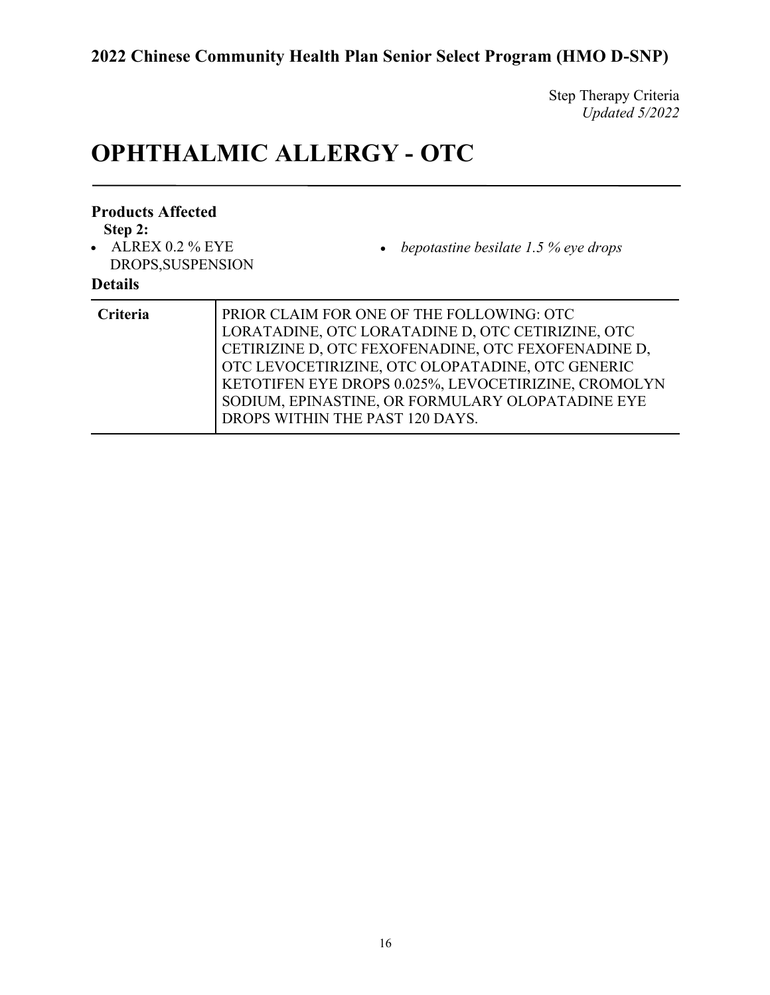Step Therapy Criteria *Updated 5/2022*

# **OPHTHALMIC ALLERGY - OTC**

| <b>Products Affected</b><br>Step 2:<br>$\bullet$ ALREX 0.2 % EYE<br>DROPS, SUSPENSION<br><b>Details</b> | • bepotastine besilate $1.5\%$ eye drops                                                                                                                                                                                                                                                                                                                 |
|---------------------------------------------------------------------------------------------------------|----------------------------------------------------------------------------------------------------------------------------------------------------------------------------------------------------------------------------------------------------------------------------------------------------------------------------------------------------------|
| Criteria                                                                                                | PRIOR CLAIM FOR ONE OF THE FOLLOWING: OTC<br>LORATADINE, OTC LORATADINE D, OTC CETIRIZINE, OTC<br>CETIRIZINE D, OTC FEXOFENADINE, OTC FEXOFENADINE D,<br>OTC LEVOCETIRIZINE, OTC OLOPATADINE, OTC GENERIC<br>KETOTIFEN EYE DROPS 0.025%, LEVOCETIRIZINE, CROMOLYN<br>SODIUM, EPINASTINE, OR FORMULARY OLOPATADINE EYE<br>DROPS WITHIN THE PAST 120 DAYS. |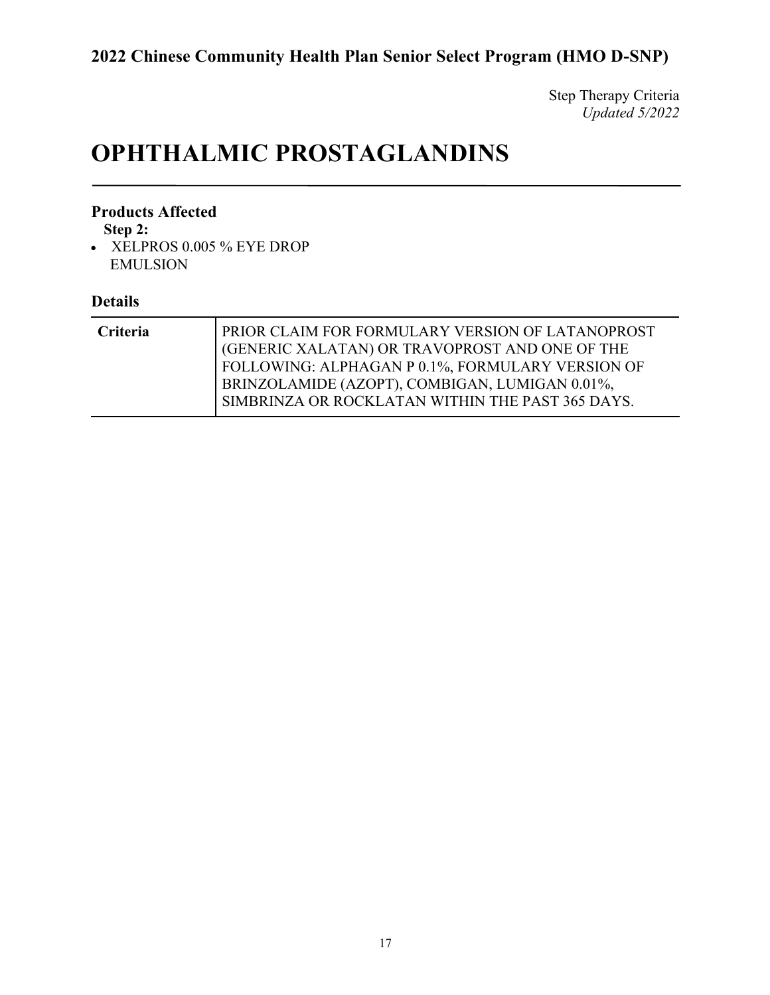Step Therapy Criteria *Updated 5/2022*

# **OPHTHALMIC PROSTAGLANDINS**

#### **Products Affected**

**Step 2:**

• XELPROS 0.005 % EYE DROP EMULSION

| <b>Criteria</b> | PRIOR CLAIM FOR FORMULARY VERSION OF LATANOPROST<br>(GENERIC XALATAN) OR TRAVOPROST AND ONE OF THE<br>FOLLOWING: ALPHAGAN P 0.1%, FORMULARY VERSION OF<br>BRINZOLAMIDE (AZOPT), COMBIGAN, LUMIGAN 0.01%, |
|-----------------|----------------------------------------------------------------------------------------------------------------------------------------------------------------------------------------------------------|
|                 | SIMBRINZA OR ROCKLATAN WITHIN THE PAST 365 DAYS.                                                                                                                                                         |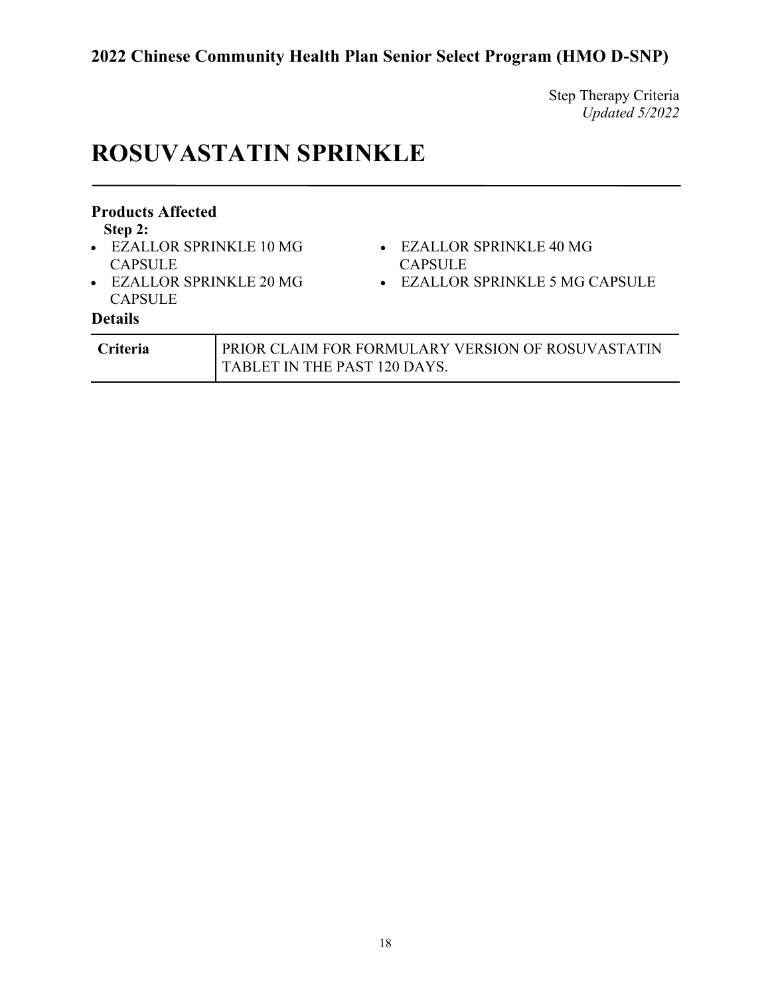Step Therapy Criteria *Updated 5/2022*

# **ROSUVASTATIN SPRINKLE**

| <b>Products Affected</b><br>Step 2:<br>• EZALLOR SPRINKLE 10 MG<br><b>CAPSULE</b><br>• EZALLOR SPRINKLE 20 MG<br><b>CAPSULE</b><br><b>Details</b> |                              | • EZALLOR SPRINKLE 40 MG<br><b>CAPSULE</b><br>$\bullet$ EZALLOR SPRINKLE 5 MG CAPSULE |
|---------------------------------------------------------------------------------------------------------------------------------------------------|------------------------------|---------------------------------------------------------------------------------------|
| Criteria                                                                                                                                          | TABLET IN THE PAST 120 DAYS. | PRIOR CLAIM FOR FORMULARY VERSION OF ROSUVASTATIN                                     |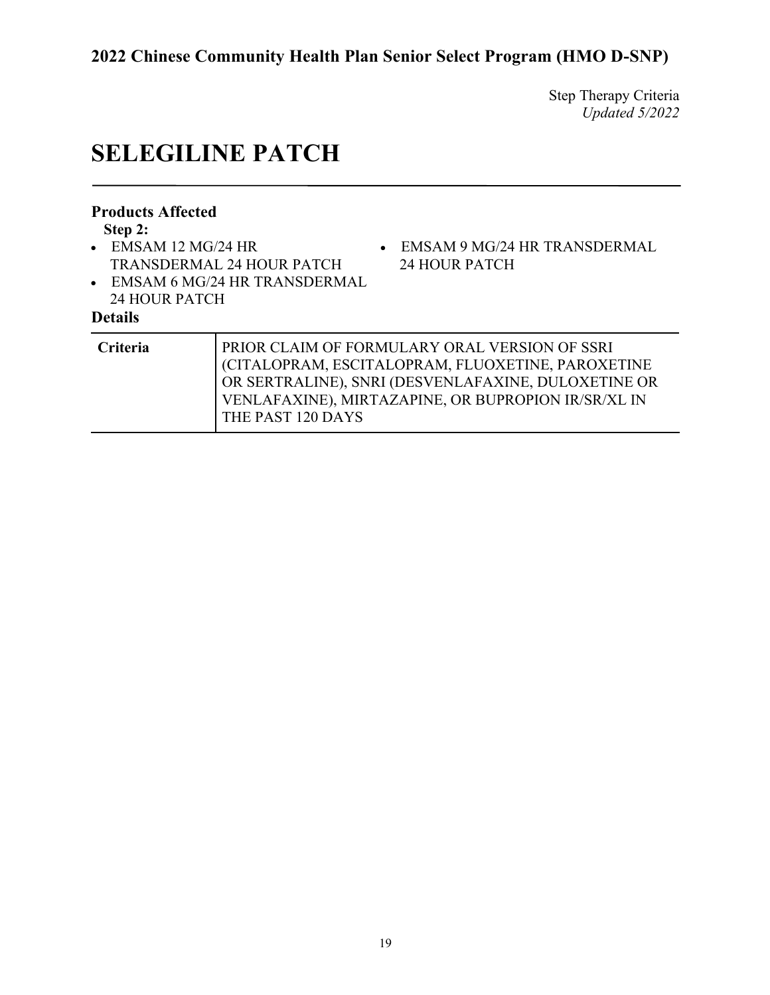Step Therapy Criteria *Updated 5/2022*

# **SELEGILINE PATCH**

| <b>Products Affected</b><br>Step 2:<br>$\bullet$ EMSAM 12 MG/24 HR<br>24 HOUR PATCH<br><b>Details</b> | • EMSAM 9 MG/24 HR TRANSDERMAL<br><b>TRANSDERMAL 24 HOUR PATCH</b><br>24 HOUR PATCH<br>• EMSAM 6 MG/24 HR TRANSDERMAL                                                                                                                 |
|-------------------------------------------------------------------------------------------------------|---------------------------------------------------------------------------------------------------------------------------------------------------------------------------------------------------------------------------------------|
| Criteria                                                                                              | PRIOR CLAIM OF FORMULARY ORAL VERSION OF SSRI<br>(CITALOPRAM, ESCITALOPRAM, FLUOXETINE, PAROXETINE<br>OR SERTRALINE), SNRI (DESVENLAFAXINE, DULOXETINE OR<br>VENLAFAXINE), MIRTAZAPINE, OR BUPROPION IR/SR/XL IN<br>THE PAST 120 DAYS |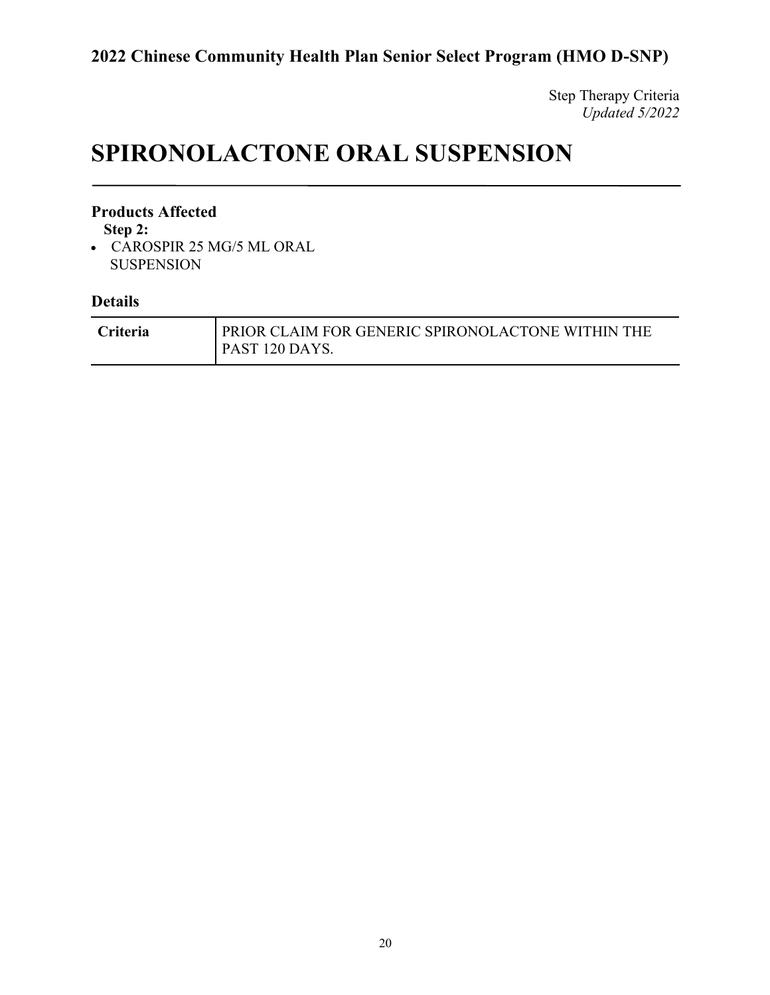Step Therapy Criteria *Updated 5/2022*

# **SPIRONOLACTONE ORAL SUSPENSION**

#### **Products Affected**

**Step 2:**

• CAROSPIR 25 MG/5 ML ORAL SUSPENSION

| <b>Criteria</b> | PRIOR CLAIM FOR GENERIC SPIRONOLACTONE WITHIN THE |
|-----------------|---------------------------------------------------|
|                 | <b>PAST 120 DAYS.</b>                             |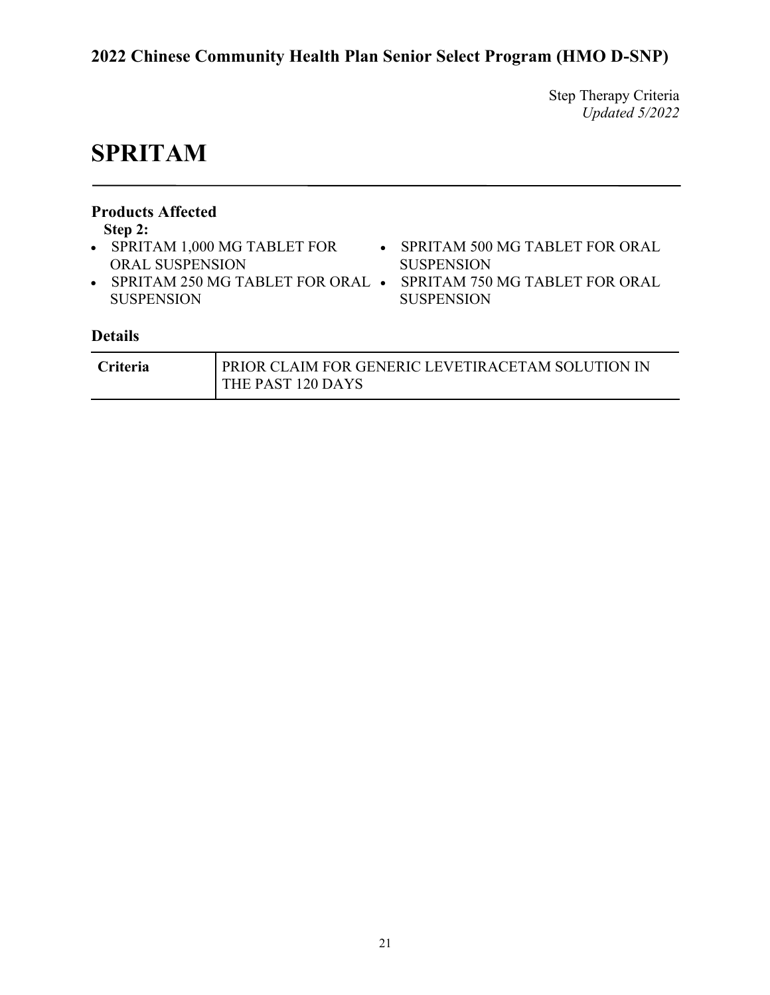Step Therapy Criteria *Updated 5/2022*

# **SPRITAM**

| <b>Products Affected</b><br>Step 2:<br>• SPRITAM 1,000 MG TABLET FOR<br><b>ORAL SUSPENSION</b><br><b>SUSPENSION</b><br><b>Details</b> | • SPRITAM 250 MG TABLET FOR ORAL $\bullet$ | $\bullet$ | SPRITAM 500 MG TABLET FOR ORAL<br><b>SUSPENSION</b><br>SPRITAM 750 MG TABLET FOR ORAL<br><b>SUSPENSION</b> |
|---------------------------------------------------------------------------------------------------------------------------------------|--------------------------------------------|-----------|------------------------------------------------------------------------------------------------------------|
| Criteria                                                                                                                              | THE PAST 120 DAYS                          |           | PRIOR CLAIM FOR GENERIC LEVETIRACETAM SOLUTION IN                                                          |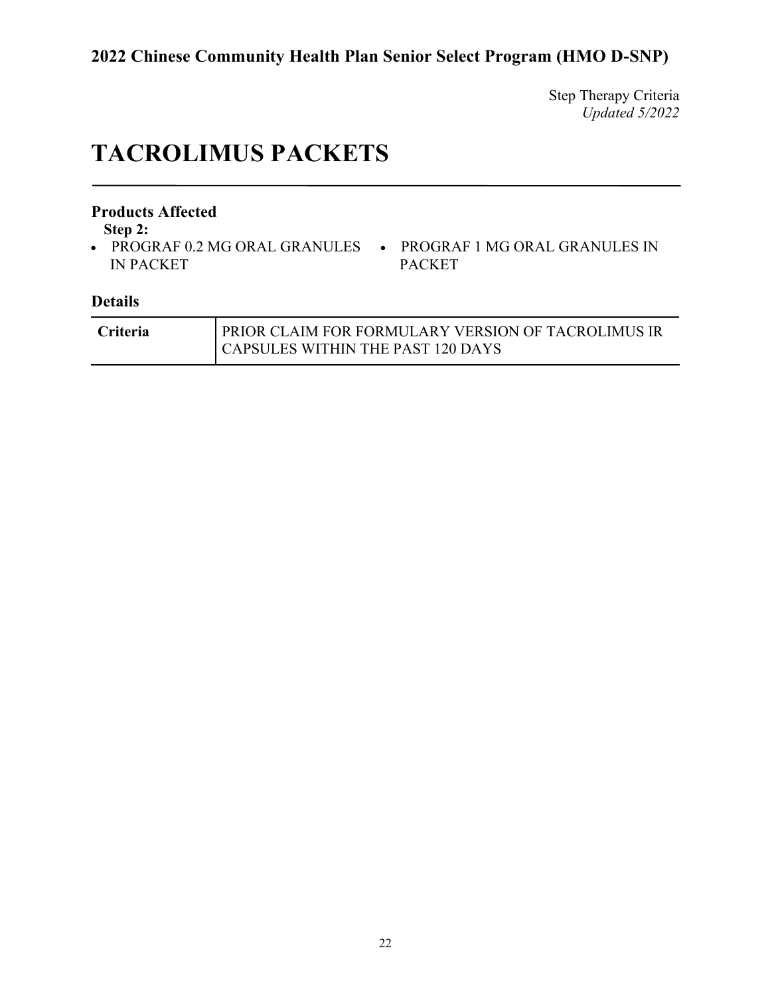Step Therapy Criteria *Updated 5/2022*

# **TACROLIMUS PACKETS**

#### **Products Affected**

**Step 2:**

- IN PACKET
- PROGRAF 0.2 MG ORAL GRANULES PROGRAF 1 MG ORAL GRANULES IN PACKET

| <b>Criteria</b> | <b>PRIOR CLAIM FOR FORMULARY VERSION OF TACROLIMUS IR</b> |
|-----------------|-----------------------------------------------------------|
|                 | <b>CAPSULES WITHIN THE PAST 120 DAYS</b>                  |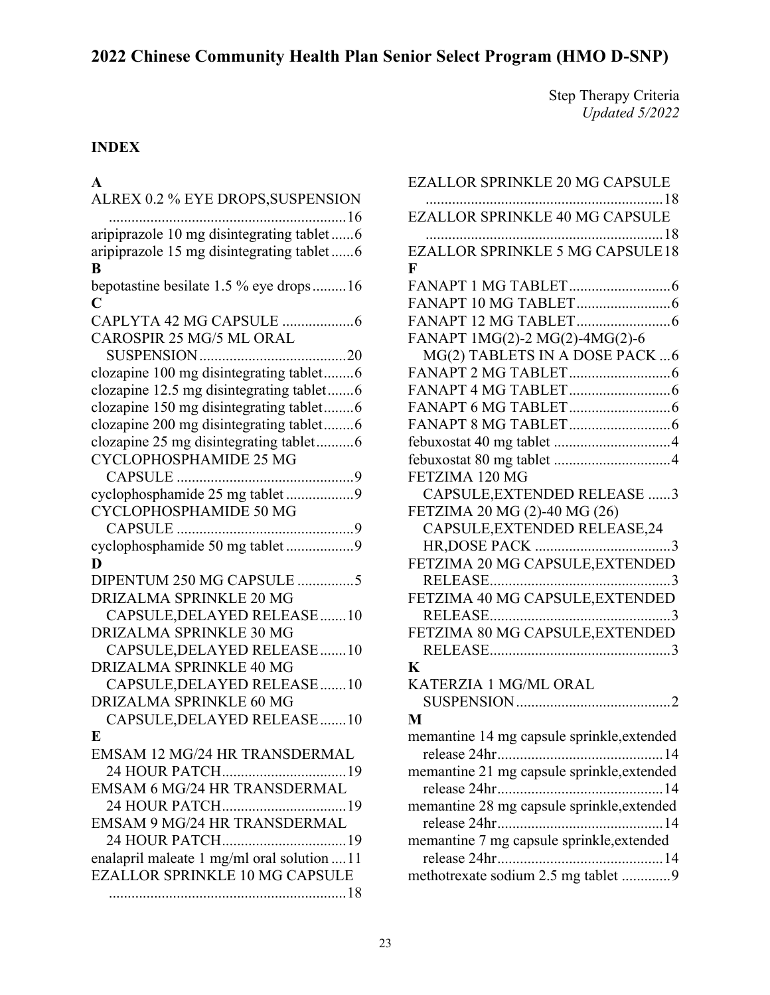Step Therapy Criteria *Updated 5/2022*

### **INDEX**

### **A**

| ALREX 0.2 % EYE DROPS, SUSPENSION           |
|---------------------------------------------|
| aripiprazole 10 mg disintegrating tablet 6  |
| aripiprazole 15 mg disintegrating tablet6   |
| B                                           |
| bepotastine besilate 1.5 % eye drops16      |
| C                                           |
| CAROSPIR 25 MG/5 ML ORAL                    |
|                                             |
|                                             |
| clozapine 100 mg disintegrating tablet6     |
| clozapine 12.5 mg disintegrating tablet6    |
| clozapine 150 mg disintegrating tablet6     |
| clozapine 200 mg disintegrating tablet6     |
| clozapine 25 mg disintegrating tablet6      |
| CYCLOPHOSPHAMIDE 25 MG                      |
|                                             |
| cyclophosphamide 25 mg tablet 9             |
| CYCLOPHOSPHAMIDE 50 MG                      |
|                                             |
| cyclophosphamide 50 mg tablet 9             |
| D                                           |
| DIPENTUM 250 MG CAPSULE 5                   |
| <b>DRIZALMA SPRINKLE 20 MG</b>              |
| CAPSULE, DELAYED RELEASE  10                |
| <b>DRIZALMA SPRINKLE 30 MG</b>              |
| CAPSULE, DELAYED RELEASE  10                |
| DRIZALMA SPRINKLE 40 MG                     |
| CAPSULE, DELAYED RELEASE 10                 |
| DRIZALMA SPRINKLE 60 MG                     |
| CAPSULE, DELAYED RELEASE  10                |
| E                                           |
| <b>EMSAM 12 MG/24 HR TRANSDERMAL</b>        |
| 24 HOUR PATCH19                             |
| <b>EMSAM 6 MG/24 HR TRANSDERMAL</b>         |
| 24 HOUR PATCH19                             |
| EMSAM 9 MG/24 HR TRANSDERMAL                |
| 24 HOUR PATCH19                             |
| enalapril maleate 1 mg/ml oral solution  11 |
| <b>EZALLOR SPRINKLE 10 MG CAPSULE</b>       |
|                                             |

| <b>EZALLOR SPRINKLE 20 MG CAPSULE</b>                  |
|--------------------------------------------------------|
| <b>EZALLOR SPRINKLE 40 MG CAPSULE</b>                  |
|                                                        |
| <b>EZALLOR SPRINKLE 5 MG CAPSULE18</b><br>$\mathbf{F}$ |
|                                                        |
|                                                        |
|                                                        |
|                                                        |
| FANAPT 1MG(2)-2 MG(2)-4MG(2)-6                         |
| MG(2) TABLETS IN A DOSE PACK  6                        |
|                                                        |
|                                                        |
|                                                        |
|                                                        |
|                                                        |
|                                                        |
| FETZIMA 120 MG                                         |
| CAPSULE, EXTENDED RELEASE 3                            |
| FETZIMA 20 MG (2)-40 MG (26)                           |
| CAPSULE, EXTENDED RELEASE, 24                          |
|                                                        |
| FETZIMA 20 MG CAPSULE, EXTENDED                        |
|                                                        |
| FETZIMA 40 MG CAPSULE, EXTENDED                        |
|                                                        |
| FETZIMA 80 MG CAPSULE, EXTENDED                        |
|                                                        |
| $\bf K$                                                |
| KATERZIA 1 MG/ML ORAL                                  |
|                                                        |
| M                                                      |
| memantine 14 mg capsule sprinkle, extended             |
|                                                        |
| memantine 21 mg capsule sprinkle, extended             |
|                                                        |
| memantine 28 mg capsule sprinkle, extended             |
|                                                        |
| memantine 7 mg capsule sprinkle, extended              |
|                                                        |
| methotrexate sodium 2.5 mg tablet 9                    |
|                                                        |